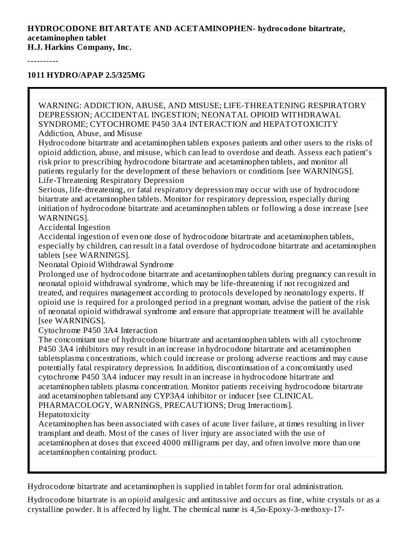#### **HYDROCODONE BITARTATE AND ACETAMINOPHEN- hydrocodone bitartrate, acetaminophen tablet**

**H.J. Harkins Company, Inc.**

----------

**1011 HYDRO/APAP 2.5/325MG**

WARNING: ADDICTION, ABUSE, AND MISUSE; LIFE-THREATENING RESPIRATORY DEPRESSION; ACCIDENTAL INGESTION; NEONATAL OPIOID WITHDRAWAL SYNDROME; CYTOCHROME P450 3A4 INTERACTION and HEPATOTOXICITY Addiction, Abuse, and Misuse

Hydrocodone bitartrate and acetaminophen tablets exposes patients and other users to the risks of opioid addiction, abuse, and misuse, which can lead to overdose and death. Assess each patient's risk prior to prescribing hydrocodone bitartrate and acetaminophen tablets, and monitor all patients regularly for the development of these behaviors or conditions [see WARNINGS]. Life-Threatening Respiratory Depression

Serious, life-threatening, or fatal respiratory depression may occur with use of hydrocodone bitartrate and acetaminophen tablets. Monitor for respiratory depression, especially during initiation of hydrocodone bitartrate and acetaminophen tablets or following a dose increase [see WARNINGS].

Accidental Ingestion

Accidental ingestion of even one dose of hydrocodone bitartrate and acetaminophen tablets, especially by children, can result in a fatal overdose of hydrocodone bitartrate and acetaminophen tablets [see WARNINGS].

Neonatal Opioid Withdrawal Syndrome

Prolonged use of hydrocodone bitartrate and acetaminophen tablets during pregnancy can result in neonatal opioid withdrawal syndrome, which may be life-threatening if not recognized and treated, and requires management according to protocols developed by neonatology experts. If opioid use is required for a prolonged period in a pregnant woman, advise the patient of the risk of neonatal opioid withdrawal syndrome and ensure that appropriate treatment will be available [see WARNINGS].

Cytochrome P450 3A4 Interaction

The concomitant use of hydrocodone bitartrate and acetaminophen tablets with all cytochrome P450 3A4 inhibitors may result in an increase in hydrocodone bitartrate and acetaminophen tabletsplasma concentrations, which could increase or prolong adverse reactions and may cause potentially fatal respiratory depression. In addition, discontinuation of a concomitantly used cytochrome P450 3A4 inducer may result in an increase in hydrocodone bitartrate and acetaminophen tablets plasma concentration. Monitor patients receiving hydrocodone bitartrate and acetaminophen tabletsand any CYP3A4 inhibitor or inducer [see CLINICAL PHARMACOLOGY, WARNINGS, PRECAUTIONS; Drug Interactions].

Hepatotoxicity

Acetaminophen has been associated with cases of acute liver failure, at times resulting in liver transplant and death. Most of the cases of liver injury are associated with the use of acetaminophen at doses that exceed 4000 milligrams per day, and often involve more than one acetaminophen containing product.

Hydrocodone bitartrate and acetaminophen is supplied in tablet form for oral administration.

Hydrocodone bitartrate is an opioid analgesic and antitussive and occurs as fine, white crystals or as a crystalline powder. It is affected by light. The chemical name is 4,5α-Epoxy-3-methoxy-17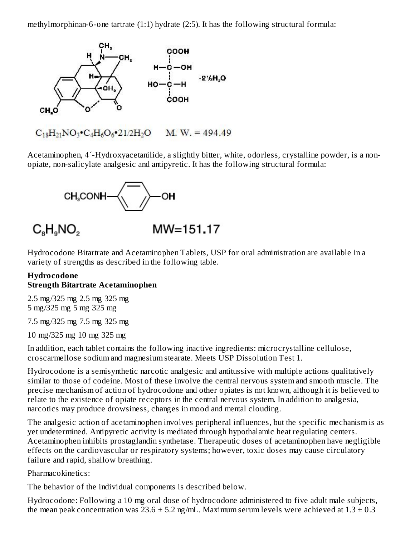methylmorphinan-6-one tartrate (1:1) hydrate (2:5). It has the following structural formula:



Acetaminophen, 4´-Hydroxyacetanilide, a slightly bitter, white, odorless, crystalline powder, is a nonopiate, non-salicylate analgesic and antipyretic. It has the following structural formula:



# $C_{8}H_{9}NO_{2}$

## $MW=151.17$

Hydrocodone Bitartrate and Acetaminophen Tablets, USP for oral administration are available in a variety of strengths as described in the following table.

#### **Hydrocodone Strength Bitartrate Acetaminophen**

2.5 mg/325 mg 2.5 mg 325 mg 5 mg/325 mg 5 mg 325 mg

7.5 mg/325 mg 7.5 mg 325 mg

10 mg/325 mg 10 mg 325 mg

In addition, each tablet contains the following inactive ingredients: microcrystalline cellulose, croscarmellose sodium and magnesium stearate. Meets USP Dissolution Test 1.

Hydrocodone is a semisynthetic narcotic analgesic and antitussive with multiple actions qualitatively similar to those of codeine. Most of these involve the central nervous system and smooth muscle. The precise mechanism of action of hydrocodone and other opiates is not known, although it is believed to relate to the existence of opiate receptors in the central nervous system. In addition to analgesia, narcotics may produce drowsiness, changes in mood and mental clouding.

The analgesic action of acetaminophen involves peripheral influences, but the specific mechanism is as yet undetermined. Antipyretic activity is mediated through hypothalamic heat regulating centers. Acetaminophen inhibits prostaglandin synthetase. Therapeutic doses of acetaminophen have negligible effects on the cardiovascular or respiratory systems; however, toxic doses may cause circulatory failure and rapid, shallow breathing.

#### Pharmacokinetics:

The behavior of the individual components is described below.

Hydrocodone: Following a 10 mg oral dose of hydrocodone administered to five adult male subjects, the mean peak concentration was  $23.6 \pm 5.2$  ng/mL. Maximum serum levels were achieved at  $1.3 \pm 0.3$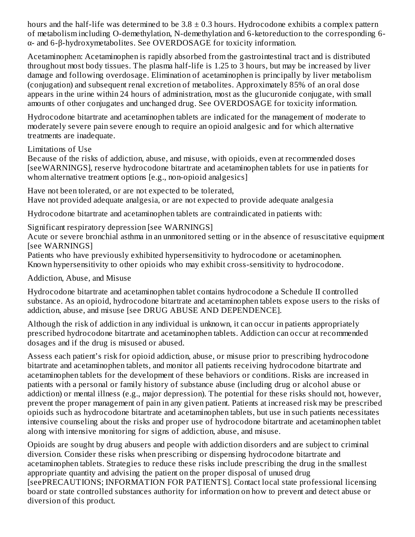hours and the half-life was determined to be  $3.8 \pm 0.3$  hours. Hydrocodone exhibits a complex pattern of metabolism including O-demethylation, N-demethylation and 6-ketoreduction to the corresponding 6 α- and 6-β-hydroxymetabolites. See OVERDOSAGE for toxicity information.

Acetaminophen: Acetaminophen is rapidly absorbed from the gastrointestinal tract and is distributed throughout most body tissues. The plasma half-life is 1.25 to 3 hours, but may be increased by liver damage and following overdosage. Elimination of acetaminophen is principally by liver metabolism (conjugation) and subsequent renal excretion of metabolites. Approximately 85% of an oral dose appears in the urine within 24 hours of administration, most as the glucuronide conjugate, with small amounts of other conjugates and unchanged drug. See OVERDOSAGE for toxicity information.

Hydrocodone bitartrate and acetaminophen tablets are indicated for the management of moderate to moderately severe pain severe enough to require an opioid analgesic and for which alternative treatments are inadequate.

Limitations of Use

Because of the risks of addiction, abuse, and misuse, with opioids, even at recommended doses [seeWARNINGS], reserve hydrocodone bitartrate and acetaminophen tablets for use in patients for whom alternative treatment options [e.g., non-opioid analgesics]

Have not been tolerated, or are not expected to be tolerated, Have not provided adequate analgesia, or are not expected to provide adequate analgesia

Hydrocodone bitartrate and acetaminophen tablets are contraindicated in patients with:

Significant respiratory depression [see WARNINGS]

Acute or severe bronchial asthma in an unmonitored setting or in the absence of resuscitative equipment [see WARNINGS]

Patients who have previously exhibited hypersensitivity to hydrocodone or acetaminophen. Known hypersensitivity to other opioids who may exhibit cross-sensitivity to hydrocodone.

Addiction, Abuse, and Misuse

Hydrocodone bitartrate and acetaminophen tablet contains hydrocodone a Schedule II controlled substance. As an opioid, hydrocodone bitartrate and acetaminophen tablets expose users to the risks of addiction, abuse, and misuse [see DRUG ABUSE AND DEPENDENCE].

Although the risk of addiction in any individual is unknown, it can occur in patients appropriately prescribed hydrocodone bitartrate and acetaminophen tablets. Addiction can occur at recommended dosages and if the drug is misused or abused.

Assess each patient's risk for opioid addiction, abuse, or misuse prior to prescribing hydrocodone bitartrate and acetaminophen tablets, and monitor all patients receiving hydrocodone bitartrate and acetaminophen tablets for the development of these behaviors or conditions. Risks are increased in patients with a personal or family history of substance abuse (including drug or alcohol abuse or addiction) or mental illness (e.g., major depression). The potential for these risks should not, however, prevent the proper management of pain in any given patient. Patients at increased risk may be prescribed opioids such as hydrocodone bitartrate and acetaminophen tablets, but use in such patients necessitates intensive counseling about the risks and proper use of hydrocodone bitartrate and acetaminophen tablet along with intensive monitoring for signs of addiction, abuse, and misuse.

Opioids are sought by drug abusers and people with addiction disorders and are subject to criminal diversion. Consider these risks when prescribing or dispensing hydrocodone bitartrate and acetaminophen tablets. Strategies to reduce these risks include prescribing the drug in the smallest appropriate quantity and advising the patient on the proper disposal of unused drug [seePRECAUTIONS; INFORMATION FOR PATIENTS]. Contact local state professional licensing board or state controlled substances authority for information on how to prevent and detect abuse or diversion of this product.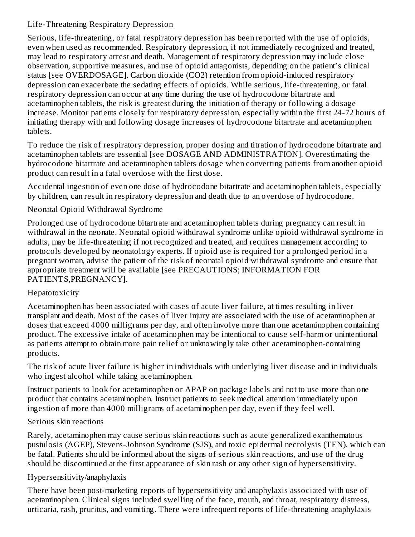## Life-Threatening Respiratory Depression

Serious, life-threatening, or fatal respiratory depression has been reported with the use of opioids, even when used as recommended. Respiratory depression, if not immediately recognized and treated, may lead to respiratory arrest and death. Management of respiratory depression may include close observation, supportive measures, and use of opioid antagonists, depending on the patient's clinical status [see OVERDOSAGE]. Carbon dioxide (CO2) retention from opioid-induced respiratory depression can exacerbate the sedating effects of opioids. While serious, life-threatening, or fatal respiratory depression can occur at any time during the use of hydrocodone bitartrate and acetaminophen tablets, the risk is greatest during the initiation of therapy or following a dosage increase. Monitor patients closely for respiratory depression, especially within the first 24-72 hours of initiating therapy with and following dosage increases of hydrocodone bitartrate and acetaminophen tablets.

To reduce the risk of respiratory depression, proper dosing and titration of hydrocodone bitartrate and acetaminophen tablets are essential [see DOSAGE AND ADMINISTRATION]. Overestimating the hydrocodone bitartrate and acetaminophen tablets dosage when converting patients from another opioid product can result in a fatal overdose with the first dose.

Accidental ingestion of even one dose of hydrocodone bitartrate and acetaminophen tablets, especially by children, can result in respiratory depression and death due to an overdose of hydrocodone.

## Neonatal Opioid Withdrawal Syndrome

Prolonged use of hydrocodone bitartrate and acetaminophen tablets during pregnancy can result in withdrawal in the neonate. Neonatal opioid withdrawal syndrome unlike opioid withdrawal syndrome in adults, may be life-threatening if not recognized and treated, and requires management according to protocols developed by neonatology experts. If opioid use is required for a prolonged period in a pregnant woman, advise the patient of the risk of neonatal opioid withdrawal syndrome and ensure that appropriate treatment will be available [see PRECAUTIONS; INFORMATION FOR PATIENTS,PREGNANCY].

#### Hepatotoxicity

Acetaminophen has been associated with cases of acute liver failure, at times resulting in liver transplant and death. Most of the cases of liver injury are associated with the use of acetaminophen at doses that exceed 4000 milligrams per day, and often involve more than one acetaminophen containing product. The excessive intake of acetaminophen may be intentional to cause self-harm or unintentional as patients attempt to obtain more pain relief or unknowingly take other acetaminophen-containing products.

The risk of acute liver failure is higher in individuals with underlying liver disease and in individuals who ingest alcohol while taking acetaminophen.

Instruct patients to look for acetaminophen or APAP on package labels and not to use more than one product that contains acetaminophen. Instruct patients to seek medical attention immediately upon ingestion of more than 4000 milligrams of acetaminophen per day, even if they feel well.

## Serious skin reactions

Rarely, acetaminophen may cause serious skin reactions such as acute generalized exanthematous pustulosis (AGEP), Stevens-Johnson Syndrome (SJS), and toxic epidermal necrolysis (TEN), which can be fatal. Patients should be informed about the signs of serious skin reactions, and use of the drug should be discontinued at the first appearance of skin rash or any other sign of hypersensitivity.

#### Hypersensitivity/anaphylaxis

There have been post-marketing reports of hypersensitivity and anaphylaxis associated with use of acetaminophen. Clinical signs included swelling of the face, mouth, and throat, respiratory distress, urticaria, rash, pruritus, and vomiting. There were infrequent reports of life-threatening anaphylaxis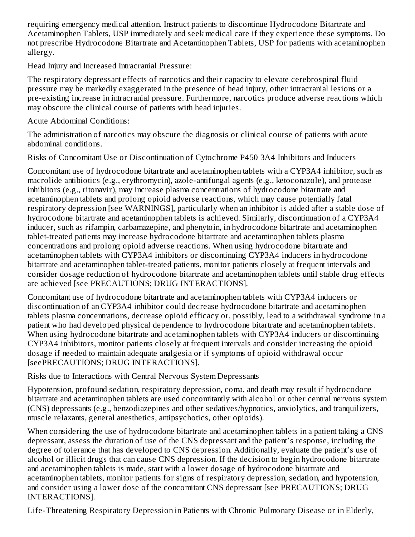requiring emergency medical attention. Instruct patients to discontinue Hydrocodone Bitartrate and Acetaminophen Tablets, USP immediately and seek medical care if they experience these symptoms. Do not prescribe Hydrocodone Bitartrate and Acetaminophen Tablets, USP for patients with acetaminophen allergy.

Head Injury and Increased Intracranial Pressure:

The respiratory depressant effects of narcotics and their capacity to elevate cerebrospinal fluid pressure may be markedly exaggerated in the presence of head injury, other intracranial lesions or a pre-existing increase in intracranial pressure. Furthermore, narcotics produce adverse reactions which may obscure the clinical course of patients with head injuries.

Acute Abdominal Conditions:

The administration of narcotics may obscure the diagnosis or clinical course of patients with acute abdominal conditions.

Risks of Concomitant Use or Discontinuation of Cytochrome P450 3A4 Inhibitors and Inducers

Concomitant use of hydrocodone bitartrate and acetaminophen tablets with a CYP3A4 inhibitor, such as macrolide antibiotics (e.g., erythromycin), azole-antifungal agents (e.g., ketoconazole), and protease inhibitors (e.g., ritonavir), may increase plasma concentrations of hydrocodone bitartrate and acetaminophen tablets and prolong opioid adverse reactions, which may cause potentially fatal respiratory depression [see WARNINGS], particularly when an inhibitor is added after a stable dose of hydrocodone bitartrate and acetaminophen tablets is achieved. Similarly, discontinuation of a CYP3A4 inducer, such as rifampin, carbamazepine, and phenytoin, in hydrocodone bitartrate and acetaminophen tablet-treated patients may increase hydrocodone bitartrate and acetaminophen tablets plasma concentrations and prolong opioid adverse reactions. When using hydrocodone bitartrate and acetaminophen tablets with CYP3A4 inhibitors or discontinuing CYP3A4 inducers in hydrocodone bitartrate and acetaminophen tablet-treated patients, monitor patients closely at frequent intervals and consider dosage reduction of hydrocodone bitartrate and acetaminophen tablets until stable drug effects are achieved [see PRECAUTIONS; DRUG INTERACTIONS].

Concomitant use of hydrocodone bitartrate and acetaminophen tablets with CYP3A4 inducers or discontinuation of an CYP3A4 inhibitor could decrease hydrocodone bitartrate and acetaminophen tablets plasma concentrations, decrease opioid efficacy or, possibly, lead to a withdrawal syndrome in a patient who had developed physical dependence to hydrocodone bitartrate and acetaminophen tablets. When using hydrocodone bitartrate and acetaminophen tablets with CYP3A4 inducers or discontinuing CYP3A4 inhibitors, monitor patients closely at frequent intervals and consider increasing the opioid dosage if needed to maintain adequate analgesia or if symptoms of opioid withdrawal occur [seePRECAUTIONS; DRUG INTERACTIONS].

Risks due to Interactions with Central Nervous System Depressants

Hypotension, profound sedation, respiratory depression, coma, and death may result if hydrocodone bitartrate and acetaminophen tablets are used concomitantly with alcohol or other central nervous system (CNS) depressants (e.g., benzodiazepines and other sedatives/hypnotics, anxiolytics, and tranquilizers, muscle relaxants, general anesthetics, antipsychotics, other opioids).

When considering the use of hydrocodone bitartrate and acetaminophen tablets in a patient taking a CNS depressant, assess the duration of use of the CNS depressant and the patient's response, including the degree of tolerance that has developed to CNS depression. Additionally, evaluate the patient's use of alcohol or illicit drugs that can cause CNS depression. If the decision to begin hydrocodone bitartrate and acetaminophen tablets is made, start with a lower dosage of hydrocodone bitartrate and acetaminophen tablets, monitor patients for signs of respiratory depression, sedation, and hypotension, and consider using a lower dose of the concomitant CNS depressant [see PRECAUTIONS; DRUG INTERACTIONS].

Life-Threatening Respiratory Depression in Patients with Chronic Pulmonary Disease or in Elderly,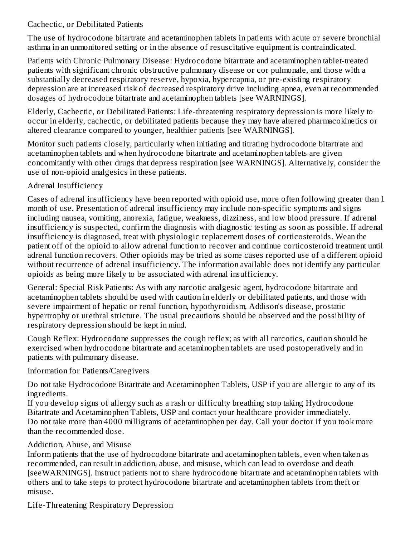#### Cachectic, or Debilitated Patients

The use of hydrocodone bitartrate and acetaminophen tablets in patients with acute or severe bronchial asthma in an unmonitored setting or in the absence of resuscitative equipment is contraindicated.

Patients with Chronic Pulmonary Disease: Hydrocodone bitartrate and acetaminophen tablet-treated patients with significant chronic obstructive pulmonary disease or cor pulmonale, and those with a substantially decreased respiratory reserve, hypoxia, hypercapnia, or pre-existing respiratory depression are at increased risk of decreased respiratory drive including apnea, even at recommended dosages of hydrocodone bitartrate and acetaminophen tablets [see WARNINGS].

Elderly, Cachectic, or Debilitated Patients: Life-threatening respiratory depression is more likely to occur in elderly, cachectic, or debilitated patients because they may have altered pharmacokinetics or altered clearance compared to younger, healthier patients [see WARNINGS].

Monitor such patients closely, particularly when initiating and titrating hydrocodone bitartrate and acetaminophen tablets and when hydrocodone bitartrate and acetaminophen tablets are given concomitantly with other drugs that depress respiration [see WARNINGS]. Alternatively, consider the use of non-opioid analgesics in these patients.

## Adrenal Insufficiency

Cases of adrenal insufficiency have been reported with opioid use, more often following greater than 1 month of use. Presentation of adrenal insufficiency may include non-specific symptoms and signs including nausea, vomiting, anorexia, fatigue, weakness, dizziness, and low blood pressure. If adrenal insufficiency is suspected, confirm the diagnosis with diagnostic testing as soon as possible. If adrenal insufficiency is diagnosed, treat with physiologic replacement doses of corticosteroids. Wean the patient off of the opioid to allow adrenal function to recover and continue corticosteroid treatment until adrenal function recovers. Other opioids may be tried as some cases reported use of a different opioid without recurrence of adrenal insufficiency. The information available does not identify any particular opioids as being more likely to be associated with adrenal insufficiency.

General: Special Risk Patients: As with any narcotic analgesic agent, hydrocodone bitartrate and acetaminophen tablets should be used with caution in elderly or debilitated patients, and those with severe impairment of hepatic or renal function, hypothyroidism, Addison's disease, prostatic hypertrophy or urethral stricture. The usual precautions should be observed and the possibility of respiratory depression should be kept in mind.

Cough Reflex: Hydrocodone suppresses the cough reflex; as with all narcotics, caution should be exercised when hydrocodone bitartrate and acetaminophen tablets are used postoperatively and in patients with pulmonary disease.

#### Information for Patients/Caregivers

Do not take Hydrocodone Bitartrate and Acetaminophen Tablets, USP if you are allergic to any of its ingredients.

If you develop signs of allergy such as a rash or difficulty breathing stop taking Hydrocodone Bitartrate and Acetaminophen Tablets, USP and contact your healthcare provider immediately. Do not take more than 4000 milligrams of acetaminophen per day. Call your doctor if you took more than the recommended dose.

#### Addiction, Abuse, and Misuse

Inform patients that the use of hydrocodone bitartrate and acetaminophen tablets, even when taken as recommended, can result in addiction, abuse, and misuse, which can lead to overdose and death [seeWARNINGS]. Instruct patients not to share hydrocodone bitartrate and acetaminophen tablets with others and to take steps to protect hydrocodone bitartrate and acetaminophen tablets from theft or misuse.

Life-Threatening Respiratory Depression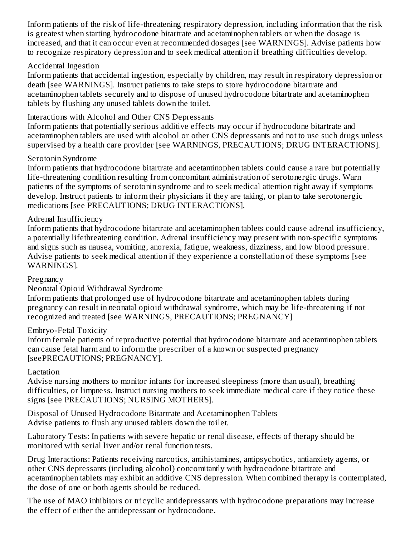Inform patients of the risk of life-threatening respiratory depression, including information that the risk is greatest when starting hydrocodone bitartrate and acetaminophen tablets or when the dosage is increased, and that it can occur even at recommended dosages [see WARNINGS]. Advise patients how to recognize respiratory depression and to seek medical attention if breathing difficulties develop.

#### Accidental Ingestion

Inform patients that accidental ingestion, especially by children, may result in respiratory depression or death [see WARNINGS]. Instruct patients to take steps to store hydrocodone bitartrate and acetaminophen tablets securely and to dispose of unused hydrocodone bitartrate and acetaminophen tablets by flushing any unused tablets down the toilet.

## Interactions with Alcohol and Other CNS Depressants

Inform patients that potentially serious additive effects may occur if hydrocodone bitartrate and acetaminophen tablets are used with alcohol or other CNS depressants and not to use such drugs unless supervised by a health care provider [see WARNINGS, PRECAUTIONS; DRUG INTERACTIONS].

## Serotonin Syndrome

Inform patients that hydrocodone bitartrate and acetaminophen tablets could cause a rare but potentially life-threatening condition resulting from concomitant administration of serotonergic drugs. Warn patients of the symptoms of serotonin syndrome and to seek medical attention right away if symptoms develop. Instruct patients to inform their physicians if they are taking, or plan to take serotonergic medications [see PRECAUTIONS; DRUG INTERACTIONS].

## Adrenal Insufficiency

Inform patients that hydrocodone bitartrate and acetaminophen tablets could cause adrenal insufficiency, a potentially lifethreatening condition. Adrenal insufficiency may present with non-specific symptoms and signs such as nausea, vomiting, anorexia, fatigue, weakness, dizziness, and low blood pressure. Advise patients to seek medical attention if they experience a constellation of these symptoms [see WARNINGS].

#### **Pregnancy**

#### Neonatal Opioid Withdrawal Syndrome

Inform patients that prolonged use of hydrocodone bitartrate and acetaminophen tablets during pregnancy can result in neonatal opioid withdrawal syndrome, which may be life-threatening if not recognized and treated [see WARNINGS, PRECAUTIONS; PREGNANCY]

#### Embryo-Fetal Toxicity

Inform female patients of reproductive potential that hydrocodone bitartrate and acetaminophen tablets can cause fetal harm and to inform the prescriber of a known or suspected pregnancy [seePRECAUTIONS; PREGNANCY].

#### Lactation

Advise nursing mothers to monitor infants for increased sleepiness (more than usual), breathing difficulties, or limpness. Instruct nursing mothers to seek immediate medical care if they notice these signs [see PRECAUTIONS; NURSING MOTHERS].

Disposal of Unused Hydrocodone Bitartrate and Acetaminophen Tablets Advise patients to flush any unused tablets down the toilet.

Laboratory Tests: In patients with severe hepatic or renal disease, effects of therapy should be monitored with serial liver and/or renal function tests.

Drug Interactions: Patients receiving narcotics, antihistamines, antipsychotics, antianxiety agents, or other CNS depressants (including alcohol) concomitantly with hydrocodone bitartrate and acetaminophen tablets may exhibit an additive CNS depression. When combined therapy is contemplated, the dose of one or both agents should be reduced.

The use of MAO inhibitors or tricyclic antidepressants with hydrocodone preparations may increase the effect of either the antidepressant or hydrocodone.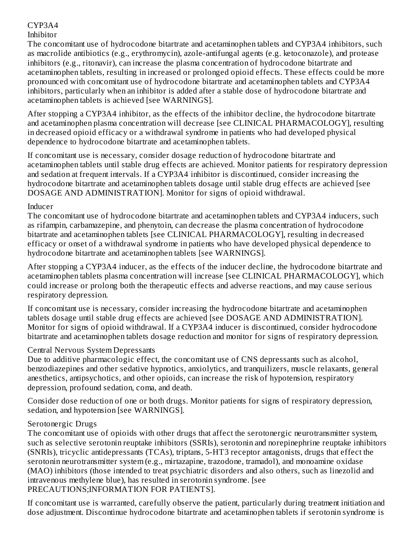## CYP3A4

## Inhibitor

The concomitant use of hydrocodone bitartrate and acetaminophen tablets and CYP3A4 inhibitors, such as macrolide antibiotics (e.g., erythromycin), azole-antifungal agents (e.g. ketoconazole), and protease inhibitors (e.g., ritonavir), can increase the plasma concentration of hydrocodone bitartrate and acetaminophen tablets, resulting in increased or prolonged opioid effects. These effects could be more pronounced with concomitant use of hydrocodone bitartrate and acetaminophen tablets and CYP3A4 inhibitors, particularly when an inhibitor is added after a stable dose of hydrocodone bitartrate and acetaminophen tablets is achieved [see WARNINGS].

After stopping a CYP3A4 inhibitor, as the effects of the inhibitor decline, the hydrocodone bitartrate and acetaminophen plasma concentration will decrease [see CLINICAL PHARMACOLOGY], resulting in decreased opioid efficacy or a withdrawal syndrome in patients who had developed physical dependence to hydrocodone bitartrate and acetaminophen tablets.

If concomitant use is necessary, consider dosage reduction of hydrocodone bitartrate and acetaminophen tablets until stable drug effects are achieved. Monitor patients for respiratory depression and sedation at frequent intervals. If a CYP3A4 inhibitor is discontinued, consider increasing the hydrocodone bitartrate and acetaminophen tablets dosage until stable drug effects are achieved [see DOSAGE AND ADMINISTRATION]. Monitor for signs of opioid withdrawal.

#### Inducer

The concomitant use of hydrocodone bitartrate and acetaminophen tablets and CYP3A4 inducers, such as rifampin, carbamazepine, and phenytoin, can decrease the plasma concentration of hydrocodone bitartrate and acetaminophen tablets [see CLINICAL PHARMACOLOGY], resulting in decreased efficacy or onset of a withdrawal syndrome in patients who have developed physical dependence to hydrocodone bitartrate and acetaminophen tablets [see WARNINGS].

After stopping a CYP3A4 inducer, as the effects of the inducer decline, the hydrocodone bitartrate and acetaminophen tablets plasma concentration will increase [see CLINICAL PHARMACOLOGY], which could increase or prolong both the therapeutic effects and adverse reactions, and may cause serious respiratory depression.

If concomitant use is necessary, consider increasing the hydrocodone bitartrate and acetaminophen tablets dosage until stable drug effects are achieved [see DOSAGE AND ADMINISTRATION]. Monitor for signs of opioid withdrawal. If a CYP3A4 inducer is discontinued, consider hydrocodone bitartrate and acetaminophen tablets dosage reduction and monitor for signs of respiratory depression.

#### Central Nervous System Depressants

Due to additive pharmacologic effect, the concomitant use of CNS depressants such as alcohol, benzodiazepines and other sedative hypnotics, anxiolytics, and tranquilizers, muscle relaxants, general anesthetics, antipsychotics, and other opioids, can increase the risk of hypotension, respiratory depression, profound sedation, coma, and death.

Consider dose reduction of one or both drugs. Monitor patients for signs of respiratory depression, sedation, and hypotension [see WARNINGS].

#### Serotonergic Drugs

The concomitant use of opioids with other drugs that affect the serotonergic neurotransmitter system, such as selective serotonin reuptake inhibitors (SSRIs), serotonin and norepinephrine reuptake inhibitors (SNRIs), tricyclic antidepressants (TCAs), triptans, 5-HT3 receptor antagonists, drugs that effect the serotonin neurotransmitter system (e.g., mirtazapine, trazodone, tramadol), and monoamine oxidase (MAO) inhibitors (those intended to treat psychiatric disorders and also others, such as linezolid and intravenous methylene blue), has resulted in serotonin syndrome. [see PRECAUTIONS;INFORMATION FOR PATIENTS].

If concomitant use is warranted, carefully observe the patient, particularly during treatment initiation and dose adjustment. Discontinue hydrocodone bitartrate and acetaminophen tablets if serotonin syndrome is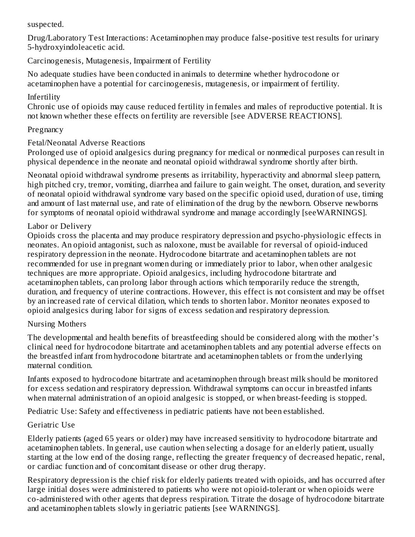suspected.

Drug/Laboratory Test Interactions: Acetaminophen may produce false-positive test results for urinary 5-hydroxyindoleacetic acid.

## Carcinogenesis, Mutagenesis, Impairment of Fertility

No adequate studies have been conducted in animals to determine whether hydrocodone or acetaminophen have a potential for carcinogenesis, mutagenesis, or impairment of fertility.

#### Infertility

Chronic use of opioids may cause reduced fertility in females and males of reproductive potential. It is not known whether these effects on fertility are reversible [see ADVERSE REACTIONS].

## **Pregnancy**

## Fetal/Neonatal Adverse Reactions

Prolonged use of opioid analgesics during pregnancy for medical or nonmedical purposes can result in physical dependence in the neonate and neonatal opioid withdrawal syndrome shortly after birth.

Neonatal opioid withdrawal syndrome presents as irritability, hyperactivity and abnormal sleep pattern, high pitched cry, tremor, vomiting, diarrhea and failure to gain weight. The onset, duration, and severity of neonatal opioid withdrawal syndrome vary based on the specific opioid used, duration of use, timing and amount of last maternal use, and rate of elimination of the drug by the newborn. Observe newborns for symptoms of neonatal opioid withdrawal syndrome and manage accordingly [seeWARNINGS].

## Labor or Delivery

Opioids cross the placenta and may produce respiratory depression and psycho-physiologic effects in neonates. An opioid antagonist, such as naloxone, must be available for reversal of opioid-induced respiratory depression in the neonate. Hydrocodone bitartrate and acetaminophen tablets are not recommended for use in pregnant women during or immediately prior to labor, when other analgesic techniques are more appropriate. Opioid analgesics, including hydrocodone bitartrate and acetaminophen tablets, can prolong labor through actions which temporarily reduce the strength, duration, and frequency of uterine contractions. However, this effect is not consistent and may be offset by an increased rate of cervical dilation, which tends to shorten labor. Monitor neonates exposed to opioid analgesics during labor for signs of excess sedation and respiratory depression.

#### Nursing Mothers

The developmental and health benefits of breastfeeding should be considered along with the mother's clinical need for hydrocodone bitartrate and acetaminophen tablets and any potential adverse effects on the breastfed infant from hydrocodone bitartrate and acetaminophen tablets or from the underlying maternal condition.

Infants exposed to hydrocodone bitartrate and acetaminophen through breast milk should be monitored for excess sedation and respiratory depression. Withdrawal symptoms can occur in breastfed infants when maternal administration of an opioid analgesic is stopped, or when breast-feeding is stopped.

Pediatric Use: Safety and effectiveness in pediatric patients have not been established.

## Geriatric Use

Elderly patients (aged 65 years or older) may have increased sensitivity to hydrocodone bitartrate and acetaminophen tablets. In general, use caution when selecting a dosage for an elderly patient, usually starting at the low end of the dosing range, reflecting the greater frequency of decreased hepatic, renal, or cardiac function and of concomitant disease or other drug therapy.

Respiratory depression is the chief risk for elderly patients treated with opioids, and has occurred after large initial doses were administered to patients who were not opioid-tolerant or when opioids were co-administered with other agents that depress respiration. Titrate the dosage of hydrocodone bitartrate and acetaminophen tablets slowly in geriatric patients [see WARNINGS].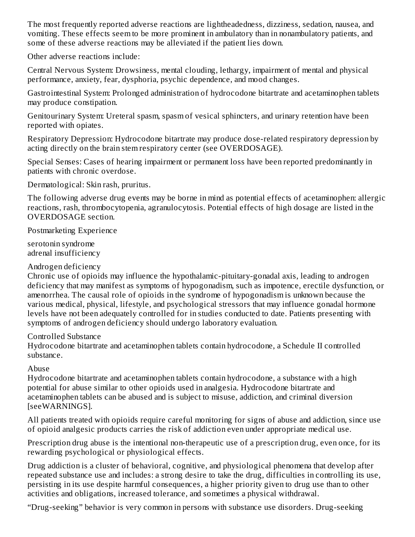The most frequently reported adverse reactions are lightheadedness, dizziness, sedation, nausea, and vomiting. These effects seem to be more prominent in ambulatory than in nonambulatory patients, and some of these adverse reactions may be alleviated if the patient lies down.

Other adverse reactions include:

Central Nervous System: Drowsiness, mental clouding, lethargy, impairment of mental and physical performance, anxiety, fear, dysphoria, psychic dependence, and mood changes.

Gastrointestinal System: Prolonged administration of hydrocodone bitartrate and acetaminophen tablets may produce constipation.

Genitourinary System: Ureteral spasm, spasm of vesical sphincters, and urinary retention have been reported with opiates.

Respiratory Depression: Hydrocodone bitartrate may produce dose-related respiratory depression by acting directly on the brain stem respiratory center (see OVERDOSAGE).

Special Senses: Cases of hearing impairment or permanent loss have been reported predominantly in patients with chronic overdose.

Dermatological: Skin rash, pruritus.

The following adverse drug events may be borne in mind as potential effects of acetaminophen: allergic reactions, rash, thrombocytopenia, agranulocytosis. Potential effects of high dosage are listed in the OVERDOSAGE section.

Postmarketing Experience

serotonin syndrome adrenal insufficiency

#### Androgen deficiency

Chronic use of opioids may influence the hypothalamic-pituitary-gonadal axis, leading to androgen deficiency that may manifest as symptoms of hypogonadism, such as impotence, erectile dysfunction, or amenorrhea. The causal role of opioids in the syndrome of hypogonadism is unknown because the various medical, physical, lifestyle, and psychological stressors that may influence gonadal hormone levels have not been adequately controlled for in studies conducted to date. Patients presenting with symptoms of androgen deficiency should undergo laboratory evaluation.

#### Controlled Substance

Hydrocodone bitartrate and acetaminophen tablets contain hydrocodone, a Schedule II controlled substance.

#### Abuse

Hydrocodone bitartrate and acetaminophen tablets contain hydrocodone, a substance with a high potential for abuse similar to other opioids used in analgesia. Hydrocodone bitartrate and acetaminophen tablets can be abused and is subject to misuse, addiction, and criminal diversion [seeWARNINGS].

All patients treated with opioids require careful monitoring for signs of abuse and addiction, since use of opioid analgesic products carries the risk of addiction even under appropriate medical use.

Prescription drug abuse is the intentional non-therapeutic use of a prescription drug, even once, for its rewarding psychological or physiological effects.

Drug addiction is a cluster of behavioral, cognitive, and physiological phenomena that develop after repeated substance use and includes: a strong desire to take the drug, difficulties in controlling its use, persisting in its use despite harmful consequences, a higher priority given to drug use than to other activities and obligations, increased tolerance, and sometimes a physical withdrawal.

"Drug-seeking" behavior is very common in persons with substance use disorders. Drug-seeking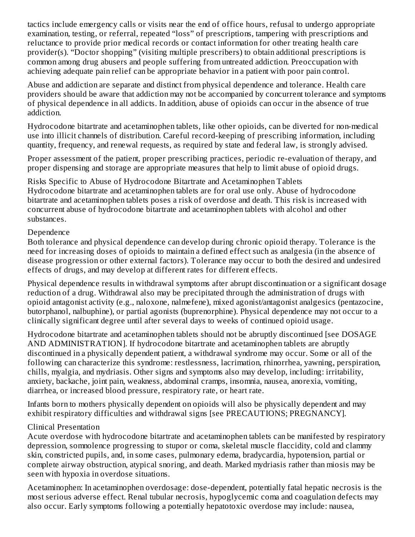tactics include emergency calls or visits near the end of office hours, refusal to undergo appropriate examination, testing, or referral, repeated "loss" of prescriptions, tampering with prescriptions and reluctance to provide prior medical records or contact information for other treating health care provider(s). "Doctor shopping" (visiting multiple prescribers) to obtain additional prescriptions is common among drug abusers and people suffering from untreated addiction. Preoccupation with achieving adequate pain relief can be appropriate behavior in a patient with poor pain control.

Abuse and addiction are separate and distinct from physical dependence and tolerance. Health care providers should be aware that addiction may not be accompanied by concurrent tolerance and symptoms of physical dependence in all addicts. In addition, abuse of opioids can occur in the absence of true addiction.

Hydrocodone bitartrate and acetaminophen tablets, like other opioids, can be diverted for non-medical use into illicit channels of distribution. Careful record-keeping of prescribing information, including quantity, frequency, and renewal requests, as required by state and federal law, is strongly advised.

Proper assessment of the patient, proper prescribing practices, periodic re-evaluation of therapy, and proper dispensing and storage are appropriate measures that help to limit abuse of opioid drugs.

Risks Specific to Abuse of Hydrocodone Bitartrate and Acetaminophen Tablets Hydrocodone bitartrate and acetaminophen tablets are for oral use only. Abuse of hydrocodone bitartrate and acetaminophen tablets poses a risk of overdose and death. This risk is increased with concurrent abuse of hydrocodone bitartrate and acetaminophen tablets with alcohol and other substances.

#### Dependence

Both tolerance and physical dependence can develop during chronic opioid therapy. Tolerance is the need for increasing doses of opioids to maintain a defined effect such as analgesia (in the absence of disease progression or other external factors). Tolerance may occur to both the desired and undesired effects of drugs, and may develop at different rates for different effects.

Physical dependence results in withdrawal symptoms after abrupt discontinuation or a significant dosage reduction of a drug. Withdrawal also may be precipitated through the administration of drugs with opioid antagonist activity (e.g., naloxone, nalmefene), mixed agonist/antagonist analgesics (pentazocine, butorphanol, nalbuphine), or partial agonists (buprenorphine). Physical dependence may not occur to a clinically significant degree until after several days to weeks of continued opioid usage.

Hydrocodone bitartrate and acetaminophen tablets should not be abruptly discontinued [see DOSAGE AND ADMINISTRATION]. If hydrocodone bitartrate and acetaminophen tablets are abruptly discontinued in a physically dependent patient, a withdrawal syndrome may occur. Some or all of the following can characterize this syndrome: restlessness, lacrimation, rhinorrhea, yawning, perspiration, chills, myalgia, and mydriasis. Other signs and symptoms also may develop, including: irritability, anxiety, backache, joint pain, weakness, abdominal cramps, insomnia, nausea, anorexia, vomiting, diarrhea, or increased blood pressure, respiratory rate, or heart rate.

Infants born to mothers physically dependent on opioids will also be physically dependent and may exhibit respiratory difficulties and withdrawal signs [see PRECAUTIONS; PREGNANCY].

#### Clinical Presentation

Acute overdose with hydrocodone bitartrate and acetaminophen tablets can be manifested by respiratory depression, somnolence progressing to stupor or coma, skeletal muscle flaccidity, cold and clammy skin, constricted pupils, and, in some cases, pulmonary edema, bradycardia, hypotension, partial or complete airway obstruction, atypical snoring, and death. Marked mydriasis rather than miosis may be seen with hypoxia in overdose situations.

Acetaminophen: In acetaminophen overdosage: dose-dependent, potentially fatal hepatic necrosis is the most serious adverse effect. Renal tubular necrosis, hypoglycemic coma and coagulation defects may also occur. Early symptoms following a potentially hepatotoxic overdose may include: nausea,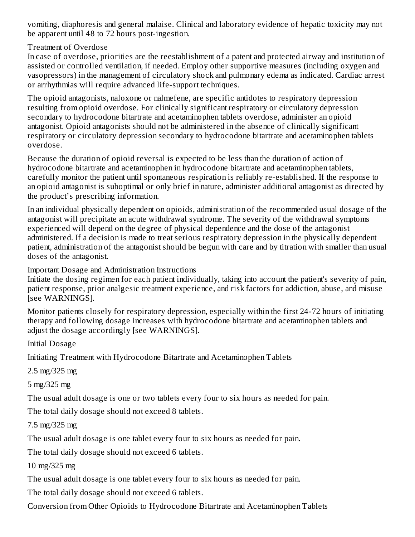vomiting, diaphoresis and general malaise. Clinical and laboratory evidence of hepatic toxicity may not be apparent until 48 to 72 hours post-ingestion.

#### Treatment of Overdose

In case of overdose, priorities are the reestablishment of a patent and protected airway and institution of assisted or controlled ventilation, if needed. Employ other supportive measures (including oxygen and vasopressors) in the management of circulatory shock and pulmonary edema as indicated. Cardiac arrest or arrhythmias will require advanced life-support techniques.

The opioid antagonists, naloxone or nalmefene, are specific antidotes to respiratory depression resulting from opioid overdose. For clinically significant respiratory or circulatory depression secondary to hydrocodone bitartrate and acetaminophen tablets overdose, administer an opioid antagonist. Opioid antagonists should not be administered in the absence of clinically significant respiratory or circulatory depression secondary to hydrocodone bitartrate and acetaminophen tablets overdose.

Because the duration of opioid reversal is expected to be less than the duration of action of hydrocodone bitartrate and acetaminophen in hydrocodone bitartrate and acetaminophen tablets, carefully monitor the patient until spontaneous respiration is reliably re-established. If the response to an opioid antagonist is suboptimal or only brief in nature, administer additional antagonist as directed by the product's prescribing information.

In an individual physically dependent on opioids, administration of the recommended usual dosage of the antagonist will precipitate an acute withdrawal syndrome. The severity of the withdrawal symptoms experienced will depend on the degree of physical dependence and the dose of the antagonist administered. If a decision is made to treat serious respiratory depression in the physically dependent patient, administration of the antagonist should be begun with care and by titration with smaller than usual doses of the antagonist.

#### Important Dosage and Administration Instructions

Initiate the dosing regimen for each patient individually, taking into account the patient's severity of pain, patient response, prior analgesic treatment experience, and risk factors for addiction, abuse, and misuse [see WARNINGS].

Monitor patients closely for respiratory depression, especially within the first 24-72 hours of initiating therapy and following dosage increases with hydrocodone bitartrate and acetaminophen tablets and adjust the dosage accordingly [see WARNINGS].

Initial Dosage

Initiating Treatment with Hydrocodone Bitartrate and Acetaminophen Tablets

2.5 mg/325 mg

5 mg/325 mg

The usual adult dosage is one or two tablets every four to six hours as needed for pain.

The total daily dosage should not exceed 8 tablets.

7.5 mg/325 mg

The usual adult dosage is one tablet every four to six hours as needed for pain.

The total daily dosage should not exceed 6 tablets.

10 mg/325 mg

The usual adult dosage is one tablet every four to six hours as needed for pain.

The total daily dosage should not exceed 6 tablets.

Conversion from Other Opioids to Hydrocodone Bitartrate and Acetaminophen Tablets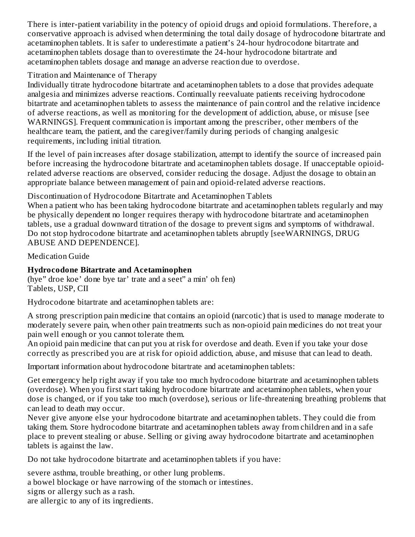There is inter-patient variability in the potency of opioid drugs and opioid formulations. Therefore, a conservative approach is advised when determining the total daily dosage of hydrocodone bitartrate and acetaminophen tablets. It is safer to underestimate a patient's 24-hour hydrocodone bitartrate and acetaminophen tablets dosage than to overestimate the 24-hour hydrocodone bitartrate and acetaminophen tablets dosage and manage an adverse reaction due to overdose.

#### Titration and Maintenance of Therapy

Individually titrate hydrocodone bitartrate and acetaminophen tablets to a dose that provides adequate analgesia and minimizes adverse reactions. Continually reevaluate patients receiving hydrocodone bitartrate and acetaminophen tablets to assess the maintenance of pain control and the relative incidence of adverse reactions, as well as monitoring for the development of addiction, abuse, or misuse [see WARNINGS]. Frequent communication is important among the prescriber, other members of the healthcare team, the patient, and the caregiver/family during periods of changing analgesic requirements, including initial titration.

If the level of pain increases after dosage stabilization, attempt to identify the source of increased pain before increasing the hydrocodone bitartrate and acetaminophen tablets dosage. If unacceptable opioidrelated adverse reactions are observed, consider reducing the dosage. Adjust the dosage to obtain an appropriate balance between management of pain and opioid-related adverse reactions.

Discontinuation of Hydrocodone Bitartrate and Acetaminophen Tablets

When a patient who has been taking hydrocodone bitartrate and acetaminophen tablets regularly and may be physically dependent no longer requires therapy with hydrocodone bitartrate and acetaminophen tablets, use a gradual downward titration of the dosage to prevent signs and symptoms of withdrawal. Do not stop hydrocodone bitartrate and acetaminophen tablets abruptly [seeWARNINGS, DRUG ABUSE AND DEPENDENCE].

Medication Guide

## **Hydrocodone Bitartrate and Acetaminophen**

(hye" droe koe' done bye tar' trate and a seet" a min' oh fen) Tablets, USP, CII

Hydrocodone bitartrate and acetaminophen tablets are:

A strong prescription pain medicine that contains an opioid (narcotic) that is used to manage moderate to moderately severe pain, when other pain treatments such as non-opioid pain medicines do not treat your pain well enough or you cannot tolerate them.

An opioid pain medicine that can put you at risk for overdose and death. Even if you take your dose correctly as prescribed you are at risk for opioid addiction, abuse, and misuse that can lead to death.

Important information about hydrocodone bitartrate and acetaminophen tablets:

Get emergency help right away if you take too much hydrocodone bitartrate and acetaminophen tablets (overdose). When you first start taking hydrocodone bitartrate and acetaminophen tablets, when your dose is changed, or if you take too much (overdose), serious or life-threatening breathing problems that can lead to death may occur.

Never give anyone else your hydrocodone bitartrate and acetaminophen tablets. They could die from taking them. Store hydrocodone bitartrate and acetaminophen tablets away from children and in a safe place to prevent stealing or abuse. Selling or giving away hydrocodone bitartrate and acetaminophen tablets is against the law.

Do not take hydrocodone bitartrate and acetaminophen tablets if you have:

severe asthma, trouble breathing, or other lung problems.

a bowel blockage or have narrowing of the stomach or intestines.

signs or allergy such as a rash.

are allergic to any of its ingredients.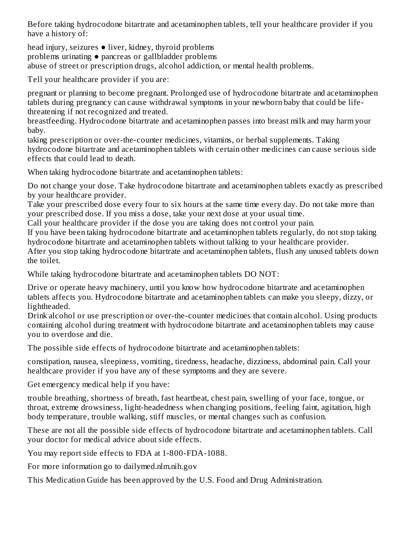Before taking hydrocodone bitartrate and acetaminophen tablets, tell your healthcare provider if you have a history of:

head injury, seizures ● liver, kidney, thyroid problems problems urinating ● pancreas or gallbladder problems abuse of street or prescription drugs, alcohol addiction, or mental health problems.

Tell your healthcare provider if you are:

pregnant or planning to become pregnant. Prolonged use of hydrocodone bitartrate and acetaminophen tablets during pregnancy can cause withdrawal symptoms in your newborn baby that could be lifethreatening if not recognized and treated.

breastfeeding. Hydrocodone bitartrate and acetaminophen passes into breast milk and may harm your baby.

taking prescription or over-the-counter medicines, vitamins, or herbal supplements. Taking hydrocodone bitartrate and acetaminophen tablets with certain other medicines can cause serious side effects that could lead to death.

When taking hydrocodone bitartrate and acetaminophen tablets:

Do not change your dose. Take hydrocodone bitartrate and acetaminophen tablets exactly as prescribed by your healthcare provider.

Take your prescribed dose every four to six hours at the same time every day. Do not take more than your prescribed dose. If you miss a dose, take your next dose at your usual time.

Call your healthcare provider if the dose you are taking does not control your pain.

If you have been taking hydrocodone bitartrate and acetaminophen tablets regularly, do not stop taking hydrocodone bitartrate and acetaminophen tablets without talking to your healthcare provider.

After you stop taking hydrocodone bitartrate and acetaminophen tablets, flush any unused tablets down the toilet.

While taking hydrocodone bitartrate and acetaminophen tablets DO NOT:

Drive or operate heavy machinery, until you know how hydrocodone bitartrate and acetaminophen tablets affects you. Hydrocodone bitartrate and acetaminophen tablets can make you sleepy, dizzy, or lightheaded.

Drink alcohol or use prescription or over-the-counter medicines that contain alcohol. Using products containing alcohol during treatment with hydrocodone bitartrate and acetaminophen tablets may cause you to overdose and die.

The possible side effects of hydrocodone bitartrate and acetaminophen tablets:

constipation, nausea, sleepiness, vomiting, tiredness, headache, dizziness, abdominal pain. Call your healthcare provider if you have any of these symptoms and they are severe.

Get emergency medical help if you have:

trouble breathing, shortness of breath, fast heartbeat, chest pain, swelling of your face, tongue, or throat, extreme drowsiness, light-headedness when changing positions, feeling faint, agitation, high body temperature, trouble walking, stiff muscles, or mental changes such as confusion.

These are not all the possible side effects of hydrocodone bitartrate and acetaminophen tablets. Call your doctor for medical advice about side effects.

You may report side effects to FDA at 1-800-FDA-1088.

For more information go to dailymed.nlm.nih.gov

This Medication Guide has been approved by the U.S. Food and Drug Administration.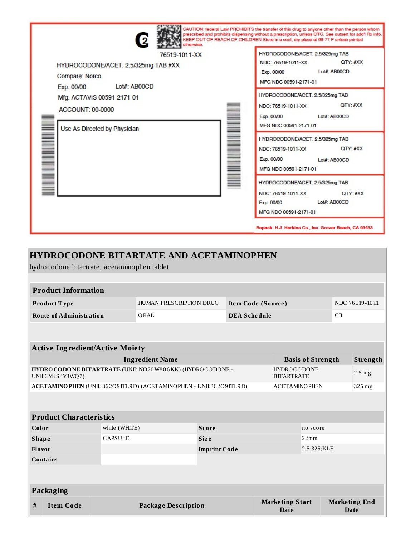| 2<br>otherwise.                                                                                     | CAUTION: federal Law PROHIBITS the transfer of this drug to anyone other than the person whom<br>prescribed and prohibits dispensing without a prescription, unless OTC. See outsert for add'l Rx info.<br>KEEP OUT OF REACH OF CHILDREN Store in a cool, dry place at 68-77 F unless printed |
|-----------------------------------------------------------------------------------------------------|-----------------------------------------------------------------------------------------------------------------------------------------------------------------------------------------------------------------------------------------------------------------------------------------------|
| 76519-1011-XX<br>HYDROCODONE/ACET. 2.5/325mg TAB #XX<br>Compare: Norco<br>Lot#: AB00CD              | HYDROCODONE/ACET. 2.5/325mg TAB<br>QTY: #XX<br>NDC: 76519-1011-XX<br>Lot#: AB00CD<br>Exp. 00/00<br>MFG NDC 00591-2171-01                                                                                                                                                                      |
| Exp. 00/00<br>Mfg. ACTAVIS 00591-2171-01<br><b>ACCOUNT: 00-0000</b><br>Use As Directed by Physician | HYDROCODONE/ACET. 2.5/325mg TAB<br>QTY: #XX<br>NDC: 76519-1011-XX<br>Exp. 00/00<br>Lot#: AB00CD<br>MFG NDC 00591-2171-01                                                                                                                                                                      |
|                                                                                                     | HYDROCODONE/ACET. 2.5/325mg TAB<br>QTY: #XX<br>NDC: 76519-1011-XX<br>Exp. 00/00<br>Lot#: AB00CD<br>MFG NDC 00591-2171-01                                                                                                                                                                      |
|                                                                                                     | HYDROCODONE/ACET. 2.5/325mg TAB<br>NDC: 76519-1011-XX<br>QTY: #XX<br>Lot#: AB00CD<br>Exp. 00/00<br>MFG NDC 00591-2171-01                                                                                                                                                                      |

## **HYDROCODONE BITARTATE AND ACETAMINOPHEN** hydrocodone bitartrate, acetaminophen tablet

| <b>Product Information</b>                                                                                                |                                                    |      |                                               |                     |                                       |             |                 |                                     |
|---------------------------------------------------------------------------------------------------------------------------|----------------------------------------------------|------|-----------------------------------------------|---------------------|---------------------------------------|-------------|-----------------|-------------------------------------|
| Product Type                                                                                                              |                                                    |      | HUMAN PRESCRIPTION DRUG<br>Item Code (Source) |                     |                                       |             | NDC:76519-1011  |                                     |
| <b>Route of Administration</b>                                                                                            |                                                    | ORAL |                                               | <b>DEA Schedule</b> |                                       |             | C <sub>II</sub> |                                     |
|                                                                                                                           |                                                    |      |                                               |                     |                                       |             |                 |                                     |
| <b>Active Ingredient/Active Moiety</b>                                                                                    |                                                    |      |                                               |                     |                                       |             |                 |                                     |
|                                                                                                                           | <b>Ingredient Name</b><br><b>Basis of Strength</b> |      |                                               |                     |                                       |             | Strength        |                                     |
| HYDRO CODONE BITARTRATE (UNII: NO70W886KK) (HYDROCODONE -<br><b>HYDROCODONE</b><br><b>BITARTRATE</b><br>UNII:6 YKS4Y3WQ7) |                                                    |      |                                               |                     | $2.5$ mg                              |             |                 |                                     |
| ACETAMINO PHEN (UNII: 362O9 ITL9D) (ACETAMINO PHEN - UNII:362O9 ITL9D)<br><b>ACETAMINOPHEN</b><br>$325$ mg                |                                                    |      |                                               |                     |                                       |             |                 |                                     |
|                                                                                                                           |                                                    |      |                                               |                     |                                       |             |                 |                                     |
| <b>Product Characteristics</b>                                                                                            |                                                    |      |                                               |                     |                                       |             |                 |                                     |
| Color                                                                                                                     | white (WHITE)                                      |      | <b>Score</b><br>no score                      |                     |                                       |             |                 |                                     |
| <b>Shape</b>                                                                                                              | <b>CAPSULE</b>                                     |      | <b>Size</b>                                   |                     |                                       | 22mm        |                 |                                     |
| Flavor                                                                                                                    |                                                    |      | <b>Imprint Code</b>                           |                     |                                       | 2;5;325;KLE |                 |                                     |
| <b>Contains</b>                                                                                                           |                                                    |      |                                               |                     |                                       |             |                 |                                     |
|                                                                                                                           |                                                    |      |                                               |                     |                                       |             |                 |                                     |
| Packaging                                                                                                                 |                                                    |      |                                               |                     |                                       |             |                 |                                     |
| #<br><b>Item Code</b>                                                                                                     | <b>Package Description</b>                         |      |                                               |                     | <b>Marketing Start</b><br><b>Date</b> |             |                 | <b>Marketing End</b><br><b>Date</b> |